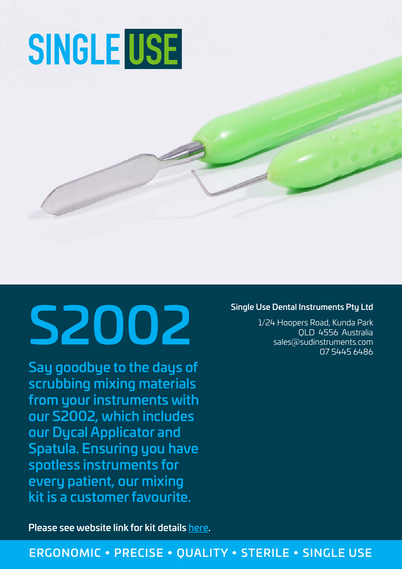# **SINGLE USE**

# Single Use Dental Instruments Pty Ltd<br>1/24 Hoopers Road, Kunda Park<br>Sales@sudinstruments.com

Say goodbye to the days of scrubbing mixing materials from your instruments with our S2002, which includes our Dycal Applicator and Spatula. Ensuring you have spotless instruments for every patient, our mixing kit is a customer favourite.

Please see website link for kit details [here.](https://www.singleusedentalinstruments.com/product/two-piece-restorative-kit-s2002/)

### Single Use Dental Instruments Pty Ltd

1/24 Hoopers Road, Kunda Park QLD 4556 Australia 07 5445 6486

# ERGONOMIC • PRECISE • QUALITY • STERILE • SINGLE USE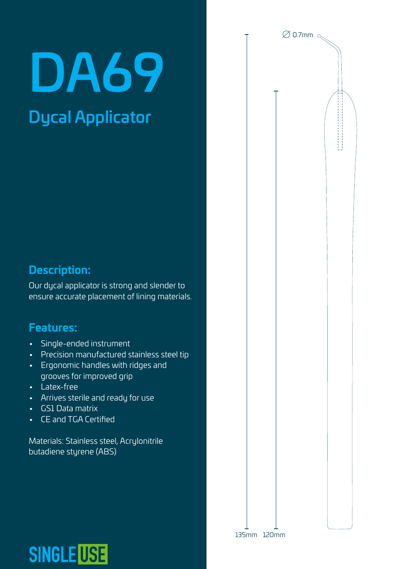# DA69

# Dycal Applicator

# **Description:**

Our dycal applicator is strong and slender to ensure accurate placement of lining materials.

# **Features:**

- Single-ended instrument
- Precision manufactured stainless steel tip
- Ergonomic handles with ridges and grooves for improved grip
- Latex-free
- Arrives sterile and ready for use
- GS1 Data matrix
- CE and TGA Certified

**SINGLE USE** 

Materials: Stainless steel, Acrylonitrile butadiene styrene (ABS)

# $\varnothing$  0.7mm  $\ll$

135mm 120mm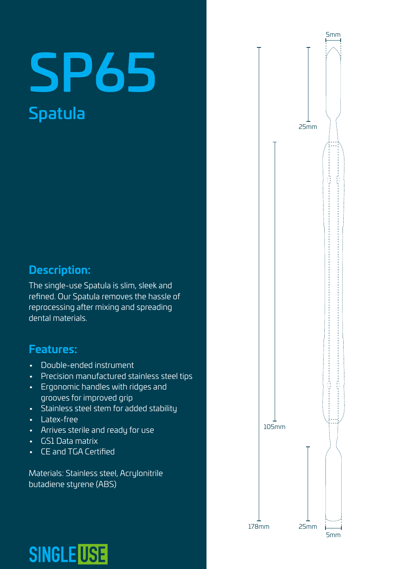# SP65 Spatula

# **Description:**

The single-use Spatula is slim, sleek and refined. Our Spatula removes the hassle of reprocessing after mixing and spreading dental materials.

# **Features:**

- Double-ended instrument
- Precision manufactured stainless steel tips
- Ergonomic handles with ridges and grooves for improved grip
- Stainless steel stem for added stability
- Latex-free
- Arrives sterile and ready for use
- GS1 Data matrix
- CE and TGA Certified

Materials: Stainless steel, Acrylonitrile butadiene styrene (ABS)